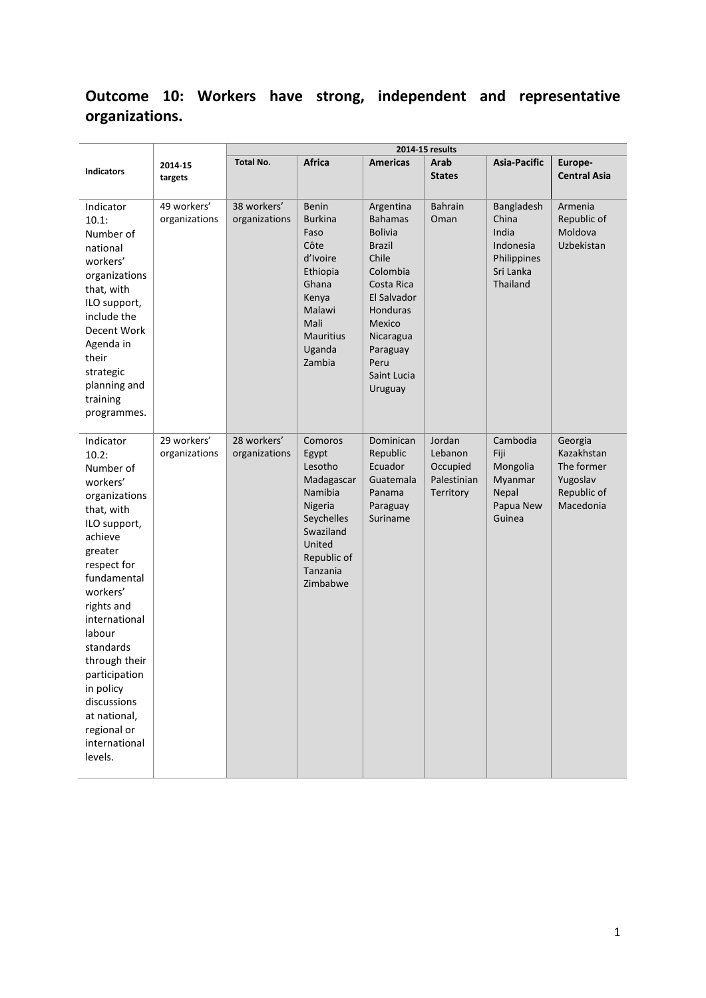# **Outcome 10: Workers have strong, independent and representative organizations.**

|                                                                                                                                                                                                                                                                                                                                           |                              | 2014-15 results              |                                                                                                                                             |                                                                                                                                                                                                   |                                                           |                                                                                   |                                                                             |  |
|-------------------------------------------------------------------------------------------------------------------------------------------------------------------------------------------------------------------------------------------------------------------------------------------------------------------------------------------|------------------------------|------------------------------|---------------------------------------------------------------------------------------------------------------------------------------------|---------------------------------------------------------------------------------------------------------------------------------------------------------------------------------------------------|-----------------------------------------------------------|-----------------------------------------------------------------------------------|-----------------------------------------------------------------------------|--|
| <b>Indicators</b>                                                                                                                                                                                                                                                                                                                         | 2014-15<br>targets           | <b>Total No.</b>             | <b>Africa</b>                                                                                                                               | <b>Americas</b>                                                                                                                                                                                   | Arab<br><b>States</b>                                     | <b>Asia-Pacific</b>                                                               | Europe-<br><b>Central Asia</b>                                              |  |
| Indicator<br>10.1:<br>Number of<br>national<br>workers'<br>organizations<br>that, with<br>ILO support,<br>include the<br>Decent Work<br>Agenda in<br>their<br>strategic<br>planning and<br>training<br>programmes.                                                                                                                        | 49 workers'<br>organizations | 38 workers'<br>organizations | Benin<br><b>Burkina</b><br>Faso<br>Côte<br>d'Ivoire<br>Ethiopia<br>Ghana<br>Kenya<br>Malawi<br>Mali<br><b>Mauritius</b><br>Uganda<br>Zambia | Argentina<br><b>Bahamas</b><br><b>Bolivia</b><br><b>Brazil</b><br>Chile<br>Colombia<br>Costa Rica<br>El Salvador<br>Honduras<br>Mexico<br>Nicaragua<br>Paraguay<br>Peru<br>Saint Lucia<br>Uruguay | <b>Bahrain</b><br>Oman                                    | Bangladesh<br>China<br>India<br>Indonesia<br>Philippines<br>Sri Lanka<br>Thailand | Armenia<br>Republic of<br>Moldova<br>Uzbekistan                             |  |
| Indicator<br>10.2:<br>Number of<br>workers'<br>organizations<br>that, with<br>ILO support,<br>achieve<br>greater<br>respect for<br>fundamental<br>workers'<br>rights and<br>international<br>labour<br>standards<br>through their<br>participation<br>in policy<br>discussions<br>at national,<br>regional or<br>international<br>levels. | 29 workers'<br>organizations | 28 workers'<br>organizations | Comoros<br>Egypt<br>Lesotho<br>Madagascar<br>Namibia<br>Nigeria<br>Seychelles<br>Swaziland<br>United<br>Republic of<br>Tanzania<br>Zimbabwe | Dominican<br>Republic<br>Ecuador<br>Guatemala<br>Panama<br>Paraguay<br>Suriname                                                                                                                   | Jordan<br>Lebanon<br>Occupied<br>Palestinian<br>Territory | Cambodia<br>Fiji<br>Mongolia<br>Myanmar<br>Nepal<br>Papua New<br>Guinea           | Georgia<br>Kazakhstan<br>The former<br>Yugoslav<br>Republic of<br>Macedonia |  |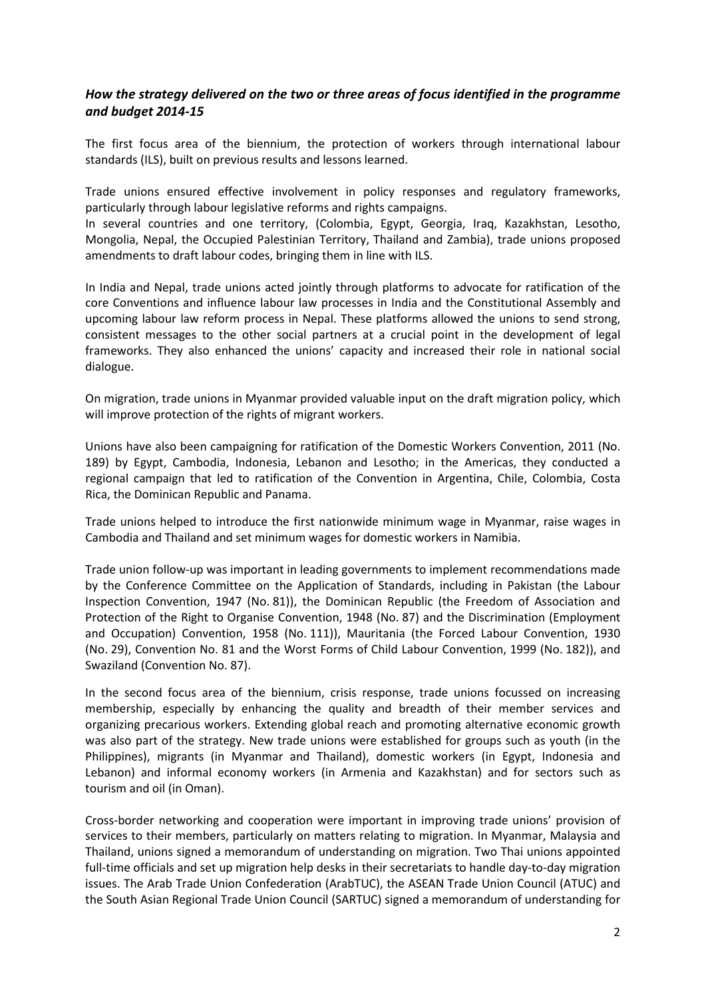## *How the strategy delivered on the two or three areas of focus identified in the programme and budget 2014-15*

The first focus area of the biennium, the protection of workers through international labour standards (ILS), built on previous results and lessons learned.

Trade unions ensured effective involvement in policy responses and regulatory frameworks, particularly through labour legislative reforms and rights campaigns.

In several countries and one territory, (Colombia, Egypt, Georgia, Iraq, Kazakhstan, Lesotho, Mongolia, Nepal, the Occupied Palestinian Territory, Thailand and Zambia), trade unions proposed amendments to draft labour codes, bringing them in line with ILS.

In India and Nepal, trade unions acted jointly through platforms to advocate for ratification of the core Conventions and influence labour law processes in India and the Constitutional Assembly and upcoming labour law reform process in Nepal. These platforms allowed the unions to send strong, consistent messages to the other social partners at a crucial point in the development of legal frameworks. They also enhanced the unions' capacity and increased their role in national social dialogue.

On migration, trade unions in Myanmar provided valuable input on the draft migration policy, which will improve protection of the rights of migrant workers.

Unions have also been campaigning for ratification of the Domestic Workers Convention, 2011 (No. 189) by Egypt, Cambodia, Indonesia, Lebanon and Lesotho; in the Americas, they conducted a regional campaign that led to ratification of the Convention in Argentina, Chile, Colombia, Costa Rica, the Dominican Republic and Panama.

Trade unions helped to introduce the first nationwide minimum wage in Myanmar, raise wages in Cambodia and Thailand and set minimum wages for domestic workers in Namibia.

Trade union follow-up was important in leading governments to implement recommendations made by the Conference Committee on the Application of Standards, including in Pakistan (the Labour Inspection Convention, 1947 (No. 81)), the Dominican Republic (the Freedom of Association and Protection of the Right to Organise Convention, 1948 (No. 87) and the Discrimination (Employment and Occupation) Convention, 1958 (No. 111)), Mauritania (the Forced Labour Convention, 1930 (No. 29), Convention No. 81 and the Worst Forms of Child Labour Convention, 1999 (No. 182)), and Swaziland (Convention No. 87).

In the second focus area of the biennium, crisis response, trade unions focussed on increasing membership, especially by enhancing the quality and breadth of their member services and organizing precarious workers. Extending global reach and promoting alternative economic growth was also part of the strategy. New trade unions were established for groups such as youth (in the Philippines), migrants (in Myanmar and Thailand), domestic workers (in Egypt, Indonesia and Lebanon) and informal economy workers (in Armenia and Kazakhstan) and for sectors such as tourism and oil (in Oman).

Cross-border networking and cooperation were important in improving trade unions' provision of services to their members, particularly on matters relating to migration. In Myanmar, Malaysia and Thailand, unions signed a memorandum of understanding on migration. Two Thai unions appointed full-time officials and set up migration help desks in their secretariats to handle day-to-day migration issues. The Arab Trade Union Confederation (ArabTUC), the ASEAN Trade Union Council (ATUC) and the South Asian Regional Trade Union Council (SARTUC) signed a memorandum of understanding for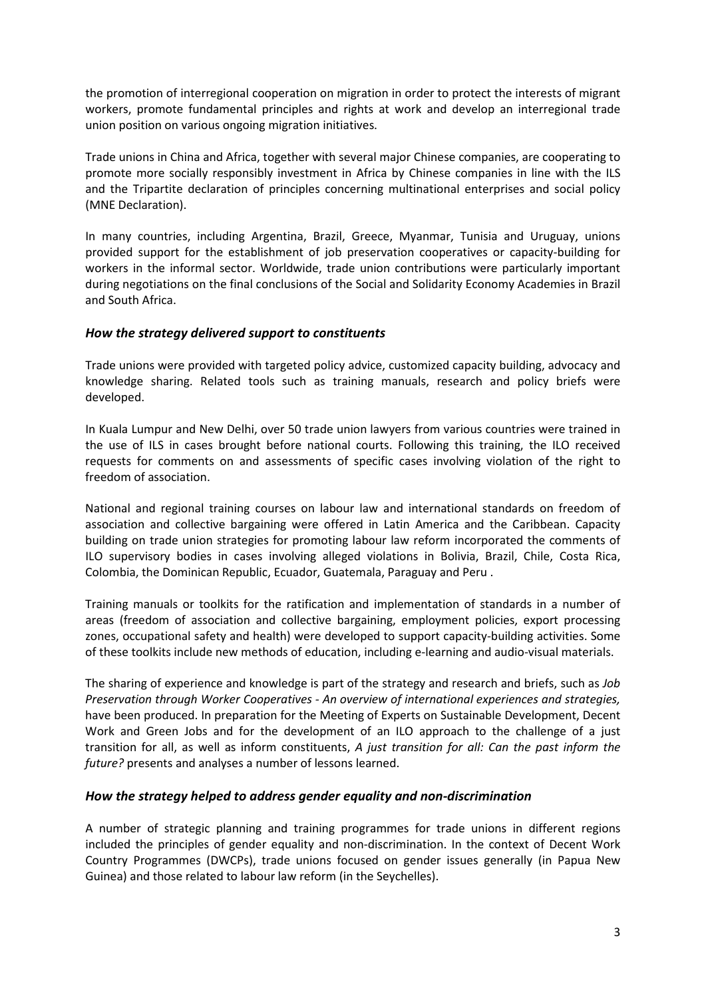the promotion of interregional cooperation on migration in order to protect the interests of migrant workers, promote fundamental principles and rights at work and develop an interregional trade union position on various ongoing migration initiatives.

Trade unions in China and Africa, together with several major Chinese companies, are cooperating to promote more socially responsibly investment in Africa by Chinese companies in line with the ILS and the Tripartite declaration of principles concerning multinational enterprises and social policy (MNE Declaration).

In many countries, including Argentina, Brazil, Greece, Myanmar, Tunisia and Uruguay, unions provided support for the establishment of job preservation cooperatives or capacity-building for workers in the informal sector. Worldwide, trade union contributions were particularly important during negotiations on the final conclusions of the Social and Solidarity Economy Academies in Brazil and South Africa.

### *How the strategy delivered support to constituents*

Trade unions were provided with targeted policy advice, customized capacity building, advocacy and knowledge sharing. Related tools such as training manuals, research and policy briefs were developed.

In Kuala Lumpur and New Delhi, over 50 trade union lawyers from various countries were trained in the use of ILS in cases brought before national courts. Following this training, the ILO received requests for comments on and assessments of specific cases involving violation of the right to freedom of association.

National and regional training courses on labour law and international standards on freedom of association and collective bargaining were offered in Latin America and the Caribbean. Capacity building on trade union strategies for promoting labour law reform incorporated the comments of ILO supervisory bodies in cases involving alleged violations in Bolivia, Brazil, Chile, Costa Rica, Colombia, the Dominican Republic, Ecuador, Guatemala, Paraguay and Peru .

Training manuals or toolkits for the ratification and implementation of standards in a number of areas (freedom of association and collective bargaining, employment policies, export processing zones, occupational safety and health) were developed to support capacity-building activities. Some of these toolkits include new methods of education, including e-learning and audio-visual materials.

The sharing of experience and knowledge is part of the strategy and research and briefs, such as *Job Preservation through Worker Cooperatives - An overview of international experiences and strategies,* have been produced. In preparation for the Meeting of Experts on Sustainable Development, Decent Work and Green Jobs and for the development of an ILO approach to the challenge of a just transition for all, as well as inform constituents, *A just transition for all: Can the past inform the future?* presents and analyses a number of lessons learned.

#### *How the strategy helped to address gender equality and non-discrimination*

A number of strategic planning and training programmes for trade unions in different regions included the principles of gender equality and non-discrimination. In the context of Decent Work Country Programmes (DWCPs), trade unions focused on gender issues generally (in Papua New Guinea) and those related to labour law reform (in the Seychelles).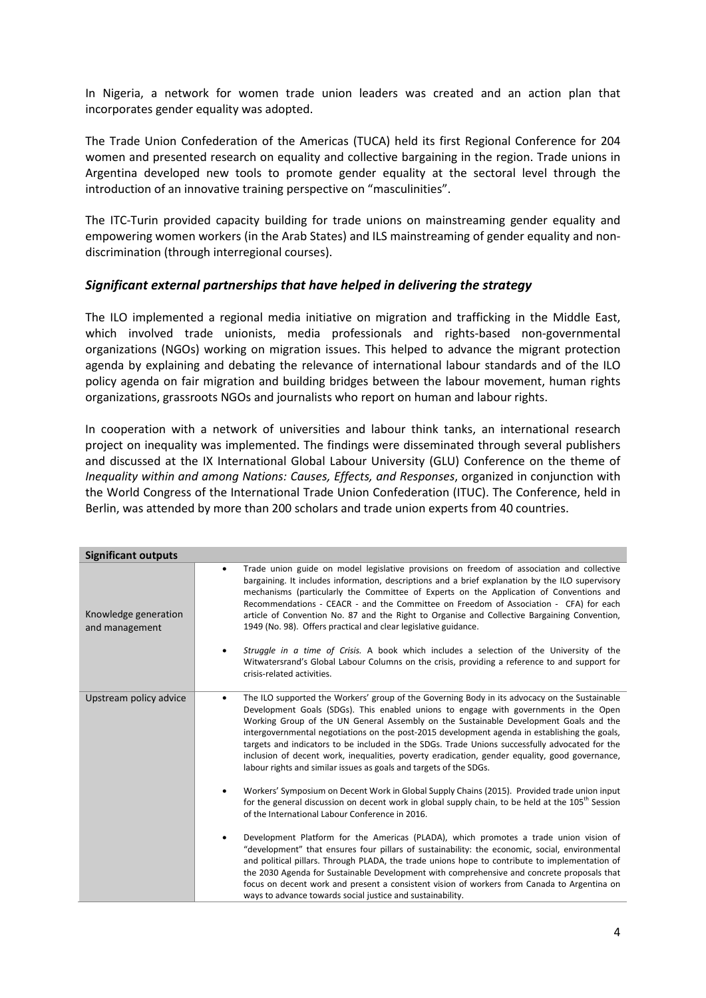In Nigeria, a network for women trade union leaders was created and an action plan that incorporates gender equality was adopted.

The Trade Union Confederation of the Americas (TUCA) held its first Regional Conference for 204 women and presented research on equality and collective bargaining in the region. Trade unions in Argentina developed new tools to promote gender equality at the sectoral level through the introduction of an innovative training perspective on "masculinities".

The ITC-Turin provided capacity building for trade unions on mainstreaming gender equality and empowering women workers (in the Arab States) and ILS mainstreaming of gender equality and nondiscrimination (through interregional courses).

### *Significant external partnerships that have helped in delivering the strategy*

The ILO implemented a regional media initiative on migration and trafficking in the Middle East, which involved trade unionists, media professionals and rights-based non-governmental organizations (NGOs) working on migration issues. This helped to advance the migrant protection agenda by explaining and debating the relevance of international labour standards and of the ILO policy agenda on fair migration and building bridges between the labour movement, human rights organizations, grassroots NGOs and journalists who report on human and labour rights.

In cooperation with a network of universities and labour think tanks, an international research project on inequality was implemented. The findings were disseminated through several publishers and discussed at the IX International Global Labour University (GLU) Conference on the theme of *Inequality within and among Nations: Causes, Effects, and Responses*, organized in conjunction with the World Congress of the International Trade Union Confederation (ITUC). The Conference, held in Berlin, was attended by more than 200 scholars and trade union experts from 40 countries.

| <b>Significant outputs</b>             |                                                                                                                                                                                                                                                                                                                                                                                                                                                                                                                                                                                                                                                                |
|----------------------------------------|----------------------------------------------------------------------------------------------------------------------------------------------------------------------------------------------------------------------------------------------------------------------------------------------------------------------------------------------------------------------------------------------------------------------------------------------------------------------------------------------------------------------------------------------------------------------------------------------------------------------------------------------------------------|
| Knowledge generation<br>and management | Trade union guide on model legislative provisions on freedom of association and collective<br>$\bullet$<br>bargaining. It includes information, descriptions and a brief explanation by the ILO supervisory<br>mechanisms (particularly the Committee of Experts on the Application of Conventions and<br>Recommendations - CEACR - and the Committee on Freedom of Association - CFA) for each<br>article of Convention No. 87 and the Right to Organise and Collective Bargaining Convention,<br>1949 (No. 98). Offers practical and clear legislative guidance.<br>Struggle in a time of Crisis. A book which includes a selection of the University of the |
|                                        | Witwatersrand's Global Labour Columns on the crisis, providing a reference to and support for<br>crisis-related activities.                                                                                                                                                                                                                                                                                                                                                                                                                                                                                                                                    |
| Upstream policy advice                 | The ILO supported the Workers' group of the Governing Body in its advocacy on the Sustainable<br>Development Goals (SDGs). This enabled unions to engage with governments in the Open<br>Working Group of the UN General Assembly on the Sustainable Development Goals and the<br>intergovernmental negotiations on the post-2015 development agenda in establishing the goals,<br>targets and indicators to be included in the SDGs. Trade Unions successfully advocated for the<br>inclusion of decent work, inequalities, poverty eradication, gender equality, good governance,<br>labour rights and similar issues as goals and targets of the SDGs.      |
|                                        | Workers' Symposium on Decent Work in Global Supply Chains (2015). Provided trade union input<br>for the general discussion on decent work in global supply chain, to be held at the 105 <sup>th</sup> Session<br>of the International Labour Conference in 2016.                                                                                                                                                                                                                                                                                                                                                                                               |
|                                        | Development Platform for the Americas (PLADA), which promotes a trade union vision of<br>"development" that ensures four pillars of sustainability: the economic, social, environmental<br>and political pillars. Through PLADA, the trade unions hope to contribute to implementation of<br>the 2030 Agenda for Sustainable Development with comprehensive and concrete proposals that<br>focus on decent work and present a consistent vision of workers from Canada to Argentina on<br>ways to advance towards social justice and sustainability.                                                                                                           |